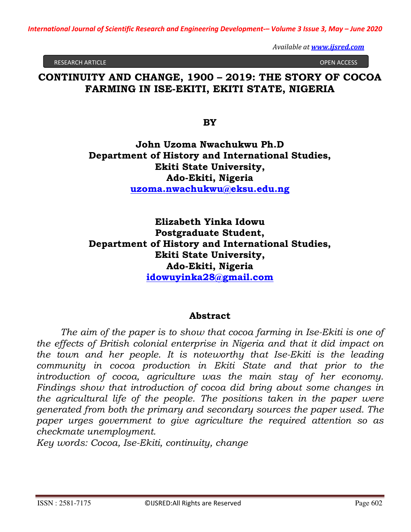RESEARCH ARTICLE OPEN ACCESS

# **CONTINUITY AND CHANGE, 1900 – 2019: THE STORY OF COCOA FARMING IN ISE-EKITI, EKITI STATE, NIGERIA**

**BY** 

**John Uzoma Nwachukwu Ph.D Department of History and International Studies, Ekiti State University, Ado-Ekiti, Nigeria uzoma.nwachukwu@eksu.edu.ng**

**Elizabeth Yinka Idowu Postgraduate Student, Department of History and International Studies, Ekiti State University, Ado-Ekiti, Nigeria idowuyinka28@gmail.com**

### **Abstract**

*The aim of the paper is to show that cocoa farming in Ise-Ekiti is one of the effects of British colonial enterprise in Nigeria and that it did impact on the town and her people. It is noteworthy that Ise-Ekiti is the leading community in cocoa production in Ekiti State and that prior to the introduction of cocoa, agriculture was the main stay of her economy. Findings show that introduction of cocoa did bring about some changes in the agricultural life of the people. The positions taken in the paper were generated from both the primary and secondary sources the paper used. The paper urges government to give agriculture the required attention so as checkmate unemployment.* 

*Key words: Cocoa, Ise-Ekiti, continuity, change*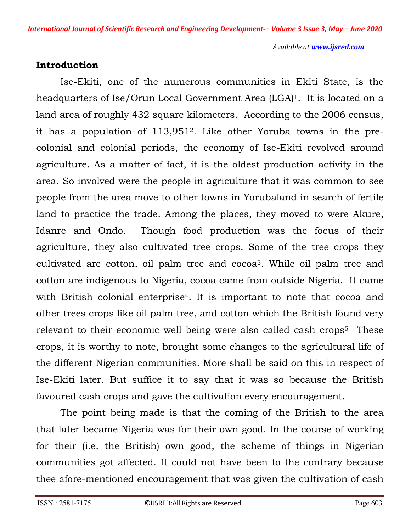## **Introduction**

 Ise-Ekiti, one of the numerous communities in Ekiti State, is the headquarters of Ise/Orun Local Government Area (LGA) <sup>1</sup>. It is located on a land area of roughly 432 square kilometers. According to the 2006 census, it has a population of 113,9512. Like other Yoruba towns in the precolonial and colonial periods, the economy of Ise-Ekiti revolved around agriculture. As a matter of fact, it is the oldest production activity in the area. So involved were the people in agriculture that it was common to see people from the area move to other towns in Yorubaland in search of fertile land to practice the trade. Among the places, they moved to were Akure, Idanre and Ondo. Though food production was the focus of their agriculture, they also cultivated tree crops. Some of the tree crops they cultivated are cotton, oil palm tree and cocoa3. While oil palm tree and cotton are indigenous to Nigeria, cocoa came from outside Nigeria. It came with British colonial enterprise<sup>4</sup>. It is important to note that cocoa and other trees crops like oil palm tree, and cotton which the British found very relevant to their economic well being were also called cash crops<sup>5</sup> These crops, it is worthy to note, brought some changes to the agricultural life of the different Nigerian communities. More shall be said on this in respect of Ise-Ekiti later. But suffice it to say that it was so because the British favoured cash crops and gave the cultivation every encouragement.

 The point being made is that the coming of the British to the area that later became Nigeria was for their own good. In the course of working for their (i.e. the British) own good, the scheme of things in Nigerian communities got affected. It could not have been to the contrary because thee afore-mentioned encouragement that was given the cultivation of cash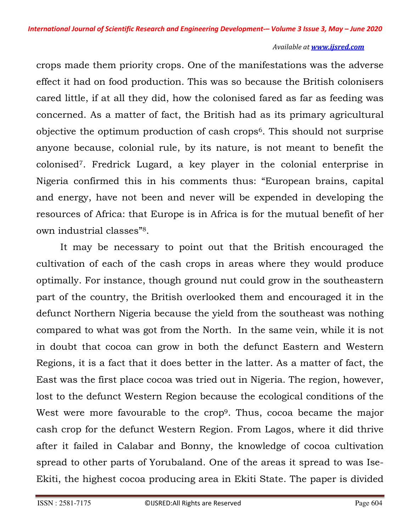crops made them priority crops. One of the manifestations was the adverse effect it had on food production. This was so because the British colonisers cared little, if at all they did, how the colonised fared as far as feeding was concerned. As a matter of fact, the British had as its primary agricultural objective the optimum production of cash crops6. This should not surprise anyone because, colonial rule, by its nature, is not meant to benefit the colonised7. Fredrick Lugard, a key player in the colonial enterprise in Nigeria confirmed this in his comments thus: "European brains, capital and energy, have not been and never will be expended in developing the resources of Africa: that Europe is in Africa is for the mutual benefit of her own industrial classes"8.

 It may be necessary to point out that the British encouraged the cultivation of each of the cash crops in areas where they would produce optimally. For instance, though ground nut could grow in the southeastern part of the country, the British overlooked them and encouraged it in the defunct Northern Nigeria because the yield from the southeast was nothing compared to what was got from the North. In the same vein, while it is not in doubt that cocoa can grow in both the defunct Eastern and Western Regions, it is a fact that it does better in the latter. As a matter of fact, the East was the first place cocoa was tried out in Nigeria. The region, however, lost to the defunct Western Region because the ecological conditions of the West were more favourable to the crop<sup>9</sup>. Thus, cocoa became the major cash crop for the defunct Western Region. From Lagos, where it did thrive after it failed in Calabar and Bonny, the knowledge of cocoa cultivation spread to other parts of Yorubaland. One of the areas it spread to was Ise-Ekiti, the highest cocoa producing area in Ekiti State. The paper is divided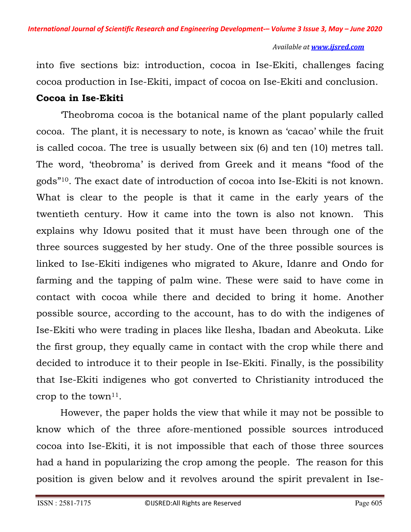into five sections biz: introduction, cocoa in Ise-Ekiti, challenges facing cocoa production in Ise-Ekiti, impact of cocoa on Ise-Ekiti and conclusion.

# **Cocoa in Ise-Ekiti**

 'Theobroma cocoa is the botanical name of the plant popularly called cocoa. The plant, it is necessary to note, is known as 'cacao' while the fruit is called cocoa. The tree is usually between six (6) and ten (10) metres tall. The word, 'theobroma' is derived from Greek and it means "food of the gods"10. The exact date of introduction of cocoa into Ise-Ekiti is not known. What is clear to the people is that it came in the early years of the twentieth century. How it came into the town is also not known. This explains why Idowu posited that it must have been through one of the three sources suggested by her study. One of the three possible sources is linked to Ise-Ekiti indigenes who migrated to Akure, Idanre and Ondo for farming and the tapping of palm wine. These were said to have come in contact with cocoa while there and decided to bring it home. Another possible source, according to the account, has to do with the indigenes of Ise-Ekiti who were trading in places like Ilesha, Ibadan and Abeokuta. Like the first group, they equally came in contact with the crop while there and decided to introduce it to their people in Ise-Ekiti. Finally, is the possibility that Ise-Ekiti indigenes who got converted to Christianity introduced the crop to the town<sup>11</sup>.

 However, the paper holds the view that while it may not be possible to know which of the three afore-mentioned possible sources introduced cocoa into Ise-Ekiti, it is not impossible that each of those three sources had a hand in popularizing the crop among the people. The reason for this position is given below and it revolves around the spirit prevalent in Ise-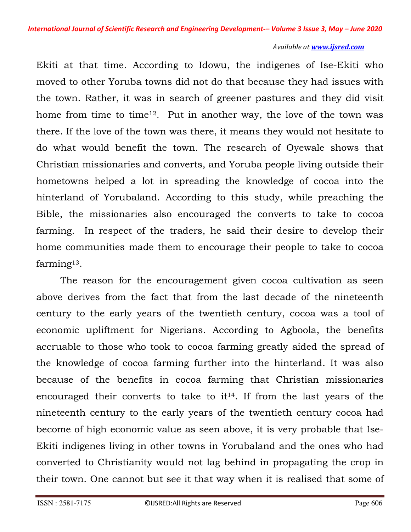Ekiti at that time. According to Idowu, the indigenes of Ise-Ekiti who moved to other Yoruba towns did not do that because they had issues with the town. Rather, it was in search of greener pastures and they did visit home from time to time<sup>12</sup>. Put in another way, the love of the town was there. If the love of the town was there, it means they would not hesitate to do what would benefit the town. The research of Oyewale shows that Christian missionaries and converts, and Yoruba people living outside their hometowns helped a lot in spreading the knowledge of cocoa into the hinterland of Yorubaland. According to this study, while preaching the Bible, the missionaries also encouraged the converts to take to cocoa farming. In respect of the traders, he said their desire to develop their home communities made them to encourage their people to take to cocoa farming13.

 The reason for the encouragement given cocoa cultivation as seen above derives from the fact that from the last decade of the nineteenth century to the early years of the twentieth century, cocoa was a tool of economic upliftment for Nigerians. According to Agboola, the benefits accruable to those who took to cocoa farming greatly aided the spread of the knowledge of cocoa farming further into the hinterland. It was also because of the benefits in cocoa farming that Christian missionaries encouraged their converts to take to  $it^{14}$ . If from the last years of the nineteenth century to the early years of the twentieth century cocoa had become of high economic value as seen above, it is very probable that Ise-Ekiti indigenes living in other towns in Yorubaland and the ones who had converted to Christianity would not lag behind in propagating the crop in their town. One cannot but see it that way when it is realised that some of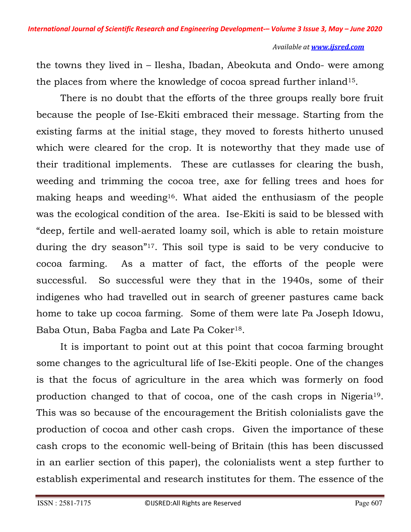the towns they lived in – Ilesha, Ibadan, Abeokuta and Ondo- were among the places from where the knowledge of cocoa spread further inland15.

 There is no doubt that the efforts of the three groups really bore fruit because the people of Ise-Ekiti embraced their message. Starting from the existing farms at the initial stage, they moved to forests hitherto unused which were cleared for the crop. It is noteworthy that they made use of their traditional implements. These are cutlasses for clearing the bush, weeding and trimming the cocoa tree, axe for felling trees and hoes for making heaps and weeding16. What aided the enthusiasm of the people was the ecological condition of the area. Ise-Ekiti is said to be blessed with "deep, fertile and well-aerated loamy soil, which is able to retain moisture during the dry season"17. This soil type is said to be very conducive to cocoa farming. As a matter of fact, the efforts of the people were successful. So successful were they that in the 1940s, some of their indigenes who had travelled out in search of greener pastures came back home to take up cocoa farming. Some of them were late Pa Joseph Idowu, Baba Otun, Baba Fagba and Late Pa Coker<sup>18</sup>.

 It is important to point out at this point that cocoa farming brought some changes to the agricultural life of Ise-Ekiti people. One of the changes is that the focus of agriculture in the area which was formerly on food production changed to that of cocoa, one of the cash crops in Nigeria19. This was so because of the encouragement the British colonialists gave the production of cocoa and other cash crops. Given the importance of these cash crops to the economic well-being of Britain (this has been discussed in an earlier section of this paper), the colonialists went a step further to establish experimental and research institutes for them. The essence of the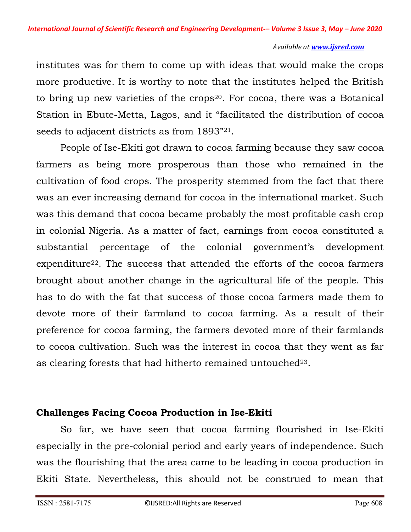institutes was for them to come up with ideas that would make the crops more productive. It is worthy to note that the institutes helped the British to bring up new varieties of the crops<sup>20</sup>. For cocoa, there was a Botanical Station in Ebute-Metta, Lagos, and it "facilitated the distribution of cocoa seeds to adjacent districts as from 1893"21.

 People of Ise-Ekiti got drawn to cocoa farming because they saw cocoa farmers as being more prosperous than those who remained in the cultivation of food crops. The prosperity stemmed from the fact that there was an ever increasing demand for cocoa in the international market. Such was this demand that cocoa became probably the most profitable cash crop in colonial Nigeria. As a matter of fact, earnings from cocoa constituted a substantial percentage of the colonial government's development expenditure<sup>22</sup>. The success that attended the efforts of the cocoa farmers brought about another change in the agricultural life of the people. This has to do with the fat that success of those cocoa farmers made them to devote more of their farmland to cocoa farming. As a result of their preference for cocoa farming, the farmers devoted more of their farmlands to cocoa cultivation. Such was the interest in cocoa that they went as far as clearing forests that had hitherto remained untouched<sup>23</sup>.

# **Challenges Facing Cocoa Production in Ise-Ekiti**

 So far, we have seen that cocoa farming flourished in Ise-Ekiti especially in the pre-colonial period and early years of independence. Such was the flourishing that the area came to be leading in cocoa production in Ekiti State. Nevertheless, this should not be construed to mean that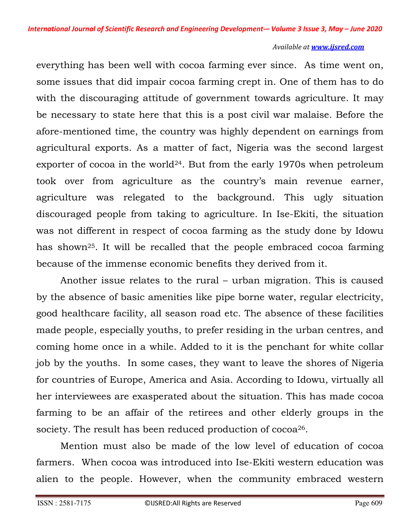everything has been well with cocoa farming ever since. As time went on, some issues that did impair cocoa farming crept in. One of them has to do with the discouraging attitude of government towards agriculture. It may be necessary to state here that this is a post civil war malaise. Before the afore-mentioned time, the country was highly dependent on earnings from agricultural exports. As a matter of fact, Nigeria was the second largest exporter of cocoa in the world<sup>24</sup>. But from the early 1970s when petroleum took over from agriculture as the country's main revenue earner, agriculture was relegated to the background. This ugly situation discouraged people from taking to agriculture. In Ise-Ekiti, the situation was not different in respect of cocoa farming as the study done by Idowu has shown25. It will be recalled that the people embraced cocoa farming because of the immense economic benefits they derived from it.

 Another issue relates to the rural – urban migration. This is caused by the absence of basic amenities like pipe borne water, regular electricity, good healthcare facility, all season road etc. The absence of these facilities made people, especially youths, to prefer residing in the urban centres, and coming home once in a while. Added to it is the penchant for white collar job by the youths. In some cases, they want to leave the shores of Nigeria for countries of Europe, America and Asia. According to Idowu, virtually all her interviewees are exasperated about the situation. This has made cocoa farming to be an affair of the retirees and other elderly groups in the society. The result has been reduced production of cocoa<sup>26</sup>.

 Mention must also be made of the low level of education of cocoa farmers. When cocoa was introduced into Ise-Ekiti western education was alien to the people. However, when the community embraced western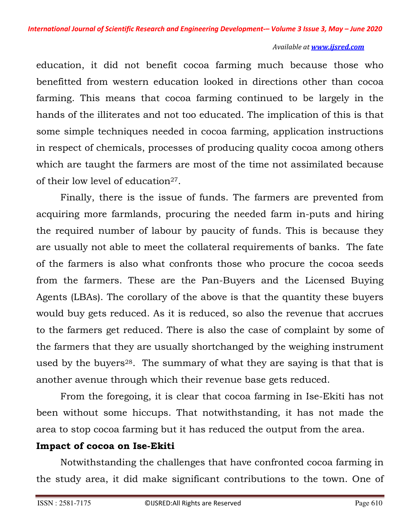education, it did not benefit cocoa farming much because those who benefitted from western education looked in directions other than cocoa farming. This means that cocoa farming continued to be largely in the hands of the illiterates and not too educated. The implication of this is that some simple techniques needed in cocoa farming, application instructions in respect of chemicals, processes of producing quality cocoa among others which are taught the farmers are most of the time not assimilated because of their low level of education<sup>27</sup>.

 Finally, there is the issue of funds. The farmers are prevented from acquiring more farmlands, procuring the needed farm in-puts and hiring the required number of labour by paucity of funds. This is because they are usually not able to meet the collateral requirements of banks. The fate of the farmers is also what confronts those who procure the cocoa seeds from the farmers. These are the Pan-Buyers and the Licensed Buying Agents (LBAs). The corollary of the above is that the quantity these buyers would buy gets reduced. As it is reduced, so also the revenue that accrues to the farmers get reduced. There is also the case of complaint by some of the farmers that they are usually shortchanged by the weighing instrument used by the buyers<sup>28</sup>. The summary of what they are saying is that that is another avenue through which their revenue base gets reduced.

 From the foregoing, it is clear that cocoa farming in Ise-Ekiti has not been without some hiccups. That notwithstanding, it has not made the area to stop cocoa farming but it has reduced the output from the area.

# **Impact of cocoa on Ise-Ekiti**

 Notwithstanding the challenges that have confronted cocoa farming in the study area, it did make significant contributions to the town. One of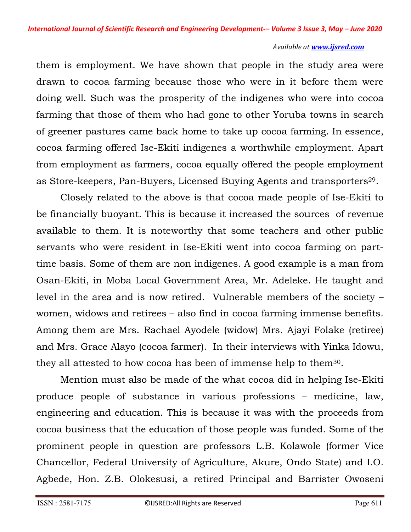them is employment. We have shown that people in the study area were drawn to cocoa farming because those who were in it before them were doing well. Such was the prosperity of the indigenes who were into cocoa farming that those of them who had gone to other Yoruba towns in search of greener pastures came back home to take up cocoa farming. In essence, cocoa farming offered Ise-Ekiti indigenes a worthwhile employment. Apart from employment as farmers, cocoa equally offered the people employment as Store-keepers, Pan-Buyers, Licensed Buying Agents and transporters<sup>29</sup>.

 Closely related to the above is that cocoa made people of Ise-Ekiti to be financially buoyant. This is because it increased the sources of revenue available to them. It is noteworthy that some teachers and other public servants who were resident in Ise-Ekiti went into cocoa farming on parttime basis. Some of them are non indigenes. A good example is a man from Osan-Ekiti, in Moba Local Government Area, Mr. Adeleke. He taught and level in the area and is now retired. Vulnerable members of the society – women, widows and retirees – also find in cocoa farming immense benefits. Among them are Mrs. Rachael Ayodele (widow) Mrs. Ajayi Folake (retiree) and Mrs. Grace Alayo (cocoa farmer). In their interviews with Yinka Idowu, they all attested to how cocoa has been of immense help to them30.

 Mention must also be made of the what cocoa did in helping Ise-Ekiti produce people of substance in various professions – medicine, law, engineering and education. This is because it was with the proceeds from cocoa business that the education of those people was funded. Some of the prominent people in question are professors L.B. Kolawole (former Vice Chancellor, Federal University of Agriculture, Akure, Ondo State) and I.O. Agbede, Hon. Z.B. Olokesusi, a retired Principal and Barrister Owoseni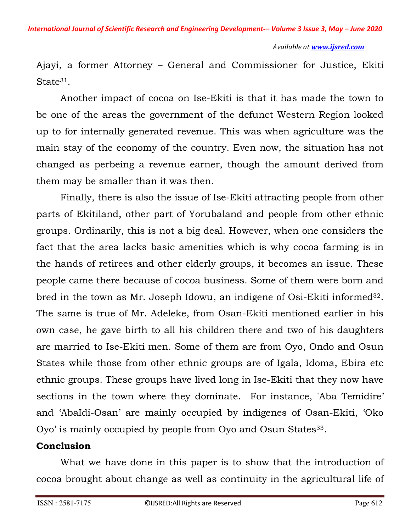Ajayi, a former Attorney – General and Commissioner for Justice, Ekiti State<sup>31</sup>.

 Another impact of cocoa on Ise-Ekiti is that it has made the town to be one of the areas the government of the defunct Western Region looked up to for internally generated revenue. This was when agriculture was the main stay of the economy of the country. Even now, the situation has not changed as perbeing a revenue earner, though the amount derived from them may be smaller than it was then.

 Finally, there is also the issue of Ise-Ekiti attracting people from other parts of Ekitiland, other part of Yorubaland and people from other ethnic groups. Ordinarily, this is not a big deal. However, when one considers the fact that the area lacks basic amenities which is why cocoa farming is in the hands of retirees and other elderly groups, it becomes an issue. These people came there because of cocoa business. Some of them were born and bred in the town as Mr. Joseph Idowu, an indigene of Osi-Ekiti informed<sup>32</sup>. The same is true of Mr. Adeleke, from Osan-Ekiti mentioned earlier in his own case, he gave birth to all his children there and two of his daughters are married to Ise-Ekiti men. Some of them are from Oyo, Ondo and Osun States while those from other ethnic groups are of Igala, Idoma, Ebira etc ethnic groups. These groups have lived long in Ise-Ekiti that they now have sections in the town where they dominate. For instance, 'Aba Temidire' and 'AbaIdi-Osan' are mainly occupied by indigenes of Osan-Ekiti, 'Oko Oyo' is mainly occupied by people from Oyo and Osun States<sup>33</sup>.

### **Conclusion**

 What we have done in this paper is to show that the introduction of cocoa brought about change as well as continuity in the agricultural life of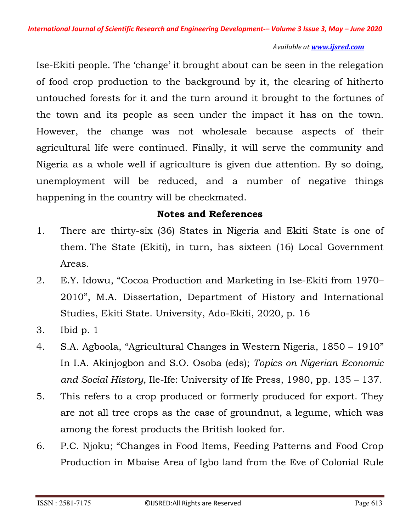Ise-Ekiti people. The 'change' it brought about can be seen in the relegation of food crop production to the background by it, the clearing of hitherto untouched forests for it and the turn around it brought to the fortunes of the town and its people as seen under the impact it has on the town. However, the change was not wholesale because aspects of their agricultural life were continued. Finally, it will serve the community and Nigeria as a whole well if agriculture is given due attention. By so doing, unemployment will be reduced, and a number of negative things happening in the country will be checkmated.

## **Notes and References**

- 1. There are thirty-six (36) States in Nigeria and Ekiti State is one of them. The State (Ekiti), in turn, has sixteen (16) Local Government Areas.
- 2. E.Y. Idowu, "Cocoa Production and Marketing in Ise-Ekiti from 1970– 2010", M.A. Dissertation, Department of History and International Studies, Ekiti State. University, Ado-Ekiti, 2020, p. 16
- 3. Ibid p. 1
- 4. S.A. Agboola, "Agricultural Changes in Western Nigeria, 1850 1910" In I.A. Akinjogbon and S.O. Osoba (eds); *Topics on Nigerian Economic and Social History*, Ile-Ife: University of Ife Press, 1980, pp. 135 – 137.
- 5. This refers to a crop produced or formerly produced for export. They are not all tree crops as the case of groundnut, a legume, which was among the forest products the British looked for.
- 6. P.C. Njoku; "Changes in Food Items, Feeding Patterns and Food Crop Production in Mbaise Area of Igbo land from the Eve of Colonial Rule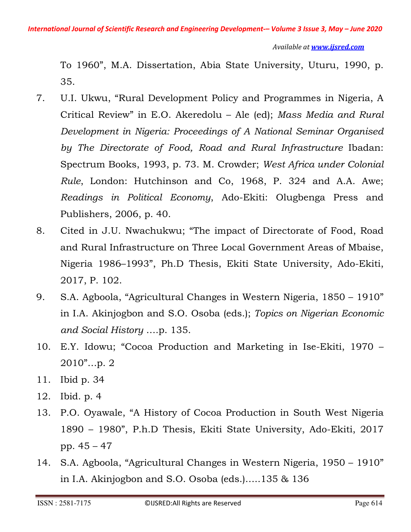To 1960", M.A. Dissertation, Abia State University, Uturu, 1990, p. 35.

- 7. U.I. Ukwu, "Rural Development Policy and Programmes in Nigeria, A Critical Review" in E.O. Akeredolu – Ale (ed); *Mass Media and Rural Development in Nigeria: Proceedings of A National Seminar Organised by The Directorate of Food, Road and Rural Infrastructure* Ibadan: Spectrum Books, 1993, p. 73. M. Crowder; *West Africa under Colonial Rule*, London: Hutchinson and Co, 1968, P. 324 and A.A. Awe; *Readings in Political Economy*, Ado-Ekiti: Olugbenga Press and Publishers, 2006, p. 40.
- 8. Cited in J.U. Nwachukwu; "The impact of Directorate of Food, Road and Rural Infrastructure on Three Local Government Areas of Mbaise, Nigeria 1986–1993", Ph.D Thesis, Ekiti State University, Ado-Ekiti, 2017, P. 102.
- 9. S.A. Agboola, "Agricultural Changes in Western Nigeria, 1850 1910" in I.A. Akinjogbon and S.O. Osoba (eds.); *Topics on Nigerian Economic and Social History* ….p. 135.
- 10. E.Y. Idowu; "Cocoa Production and Marketing in Ise-Ekiti, 1970 2010"…p. 2
- 11. Ibid p. 34
- 12. Ibid. p. 4
- 13. P.O. Oyawale, "A History of Cocoa Production in South West Nigeria 1890 – 1980", P.h.D Thesis, Ekiti State University, Ado-Ekiti, 2017 pp. 45 – 47
- 14. S.A. Agboola, "Agricultural Changes in Western Nigeria, 1950 1910" in I.A. Akinjogbon and S.O. Osoba (eds.)…..135 & 136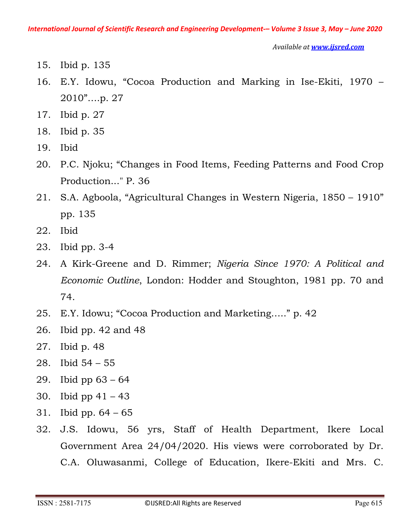- 15. Ibid p. 135
- 16. E.Y. Idowu, "Cocoa Production and Marking in Ise-Ekiti, 1970 2010"….p. 27
- 17. Ibid p. 27
- 18. Ibid p. 35
- 19. Ibid
- 20. P.C. Njoku; "Changes in Food Items, Feeding Patterns and Food Crop Production..." P. 36
- 21. S.A. Agboola, "Agricultural Changes in Western Nigeria, 1850 1910" pp. 135
- 22. Ibid
- 23. Ibid pp. 3-4
- 24. A Kirk-Greene and D. Rimmer; *Nigeria Since 1970: A Political and Economic Outline*, London: Hodder and Stoughton, 1981 pp. 70 and 74.
- 25. E.Y. Idowu; "Cocoa Production and Marketing….." p. 42
- 26. Ibid pp. 42 and 48
- 27. Ibid p. 48
- 28. Ibid 54 55
- 29. Ibid pp 63 64
- 30. Ibid pp 41 43
- 31. Ibid pp. 64 65
- 32. J.S. Idowu, 56 yrs, Staff of Health Department, Ikere Local Government Area 24/04/2020. His views were corroborated by Dr. C.A. Oluwasanmi, College of Education, Ikere-Ekiti and Mrs. C.